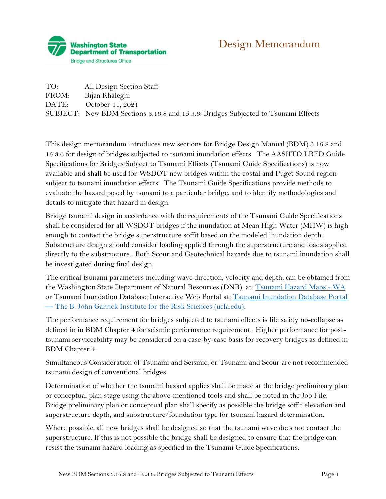

## Design Memorandum

TO: All Design Section Staff FROM: Bijan Khaleghi DATE: October 11, 2021 SUBJECT: New BDM Sections 3.16.8 and 15.3.6: Bridges Subjected to Tsunami Effects

This design memorandum introduces new sections for Bridge Design Manual (BDM) 3.16.8 and 15.3.6 for design of bridges subjected to tsunami inundation effects. The AASHTO LRFD Guide Specifications for Bridges Subject to Tsunami Effects (Tsunami Guide Specifications) is now available and shall be used for WSDOT new bridges within the costal and Puget Sound region subject to tsunami inundation effects. The Tsunami Guide Specifications provide methods to evaluate the hazard posed by tsunami to a particular bridge, and to identify methodologies and details to mitigate that hazard in design.

Bridge tsunami design in accordance with the requirements of the Tsunami Guide Specifications shall be considered for all WSDOT bridges if the inundation at Mean High Water (MHW) is high enough to contact the bridge superstructure soffit based on the modeled inundation depth. Substructure design should consider loading applied through the superstructure and loads applied directly to the substructure. Both Scour and Geotechnical hazards due to tsunami inundation shall be investigated during final design.

The critical tsunami parameters including wave direction, velocity and depth, can be obtained from the Washington State Department of Natural Resources (DNR), at: [Tsunami Hazard Maps -](about:blank#tsunami-hazard-maps) WA or Tsunami Inundation Database Interactive Web Portal at: [Tsunami Inundation Database Portal](about:blank)  — [The B. John Garrick Institute for the Risk Sciences \(ucla.edu\).](about:blank)

The performance requirement for bridges subjected to tsunami effects is life safety no-collapse as defined in in BDM Chapter 4 for seismic performance requirement. Higher performance for posttsunami serviceability may be considered on a case-by-case basis for recovery bridges as defined in BDM Chapter 4.

Simultaneous Consideration of Tsunami and Seismic, or Tsunami and Scour are not recommended tsunami design of conventional bridges.

Determination of whether the tsunami hazard applies shall be made at the bridge preliminary plan or conceptual plan stage using the above-mentioned tools and shall be noted in the Job File. Bridge preliminary plan or conceptual plan shall specify as possible the bridge soffit elevation and superstructure depth, and substructure/foundation type for tsunami hazard determination.

Where possible, all new bridges shall be designed so that the tsunami wave does not contact the superstructure. If this is not possible the bridge shall be designed to ensure that the bridge can resist the tsunami hazard loading as specified in the Tsunami Guide Specifications.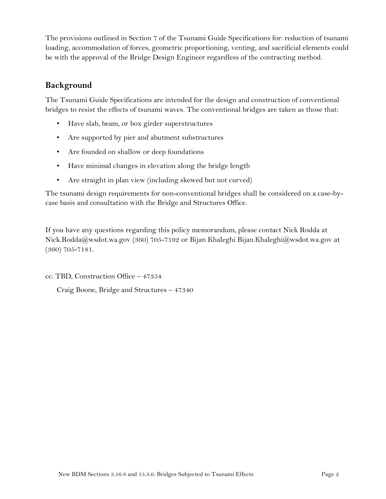The provisions outlined in Section 7 of the Tsunami Guide Specifications for: reduction of tsunami loading, accommodation of forces, geometric proportioning, venting, and sacrificial elements could be with the approval of the Bridge Design Engineer regardless of the contracting method.

## **Background**

The Tsunami Guide Specifications are intended for the design and construction of conventional bridges to resist the effects of tsunami waves. The conventional bridges are taken as those that:

- Have slab, beam, or box girder superstructures
- Are supported by pier and abutment substructures
- Are founded on shallow or deep foundations
- Have minimal changes in elevation along the bridge length
- Are straight in plan view (including skewed but not curved)

The tsunami design requirements for non-conventional bridges shall be considered on a case-bycase basis and consultation with the Bridge and Structures Office.

If you have any questions regarding this policy memorandum, please contact Nick Rodda at Nick.Rodda@wsdot.wa.gov (360) 705-7192 or Bijan Khaleghi [Bijan.Khaleghi@wsdot.wa.gov](about:blank) at (360) 705-7181.

cc: TBD, Construction Office – 47354

Craig Boone, Bridge and Structures – 47340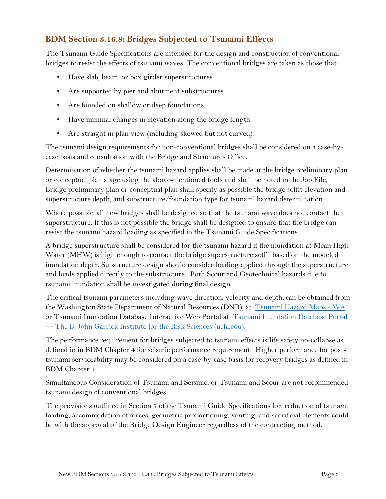## **BDM Section 3.16.8: Bridges Subjected to Tsunami Effects**

The Tsunami Guide Specifications are intended for the design and construction of conventional bridges to resist the effects of tsunami waves. The conventional bridges are taken as those that:

- Have slab, beam, or box girder superstructures
- Are supported by pier and abutment substructures
- Are founded on shallow or deep foundations
- Have minimal changes in elevation along the bridge length
- Are straight in plan view (including skewed but not curved)

The tsunami design requirements for non-conventional bridges shall be considered on a case-bycase basis and consultation with the Bridge and Structures Office.

Determination of whether the tsunami hazard applies shall be made at the bridge preliminary plan or conceptual plan stage using the above-mentioned tools and shall be noted in the Job File. Bridge preliminary plan or conceptual plan shall specify as possible the bridge soffit elevation and superstructure depth, and substructure/foundation type for tsunami hazard determination.

Where possible, all new bridges shall be designed so that the tsunami wave does not contact the superstructure. If this is not possible the bridge shall be designed to ensure that the bridge can resist the tsunami hazard loading as specified in the Tsunami Guide Specifications.

A bridge superstructure shall be considered for the tsunami hazard if the inundation at Mean High Water (MHW) is high enough to contact the bridge superstructure soffit based on the modeled inundation depth. Substructure design should consider loading applied through the superstructure and loads applied directly to the substructure. Both Scour and Geotechnical hazards due to tsunami inundation shall be investigated during final design.

The critical tsunami parameters including wave direction, velocity and depth, can be obtained from the Washington State Department of Natural Resources (DNR), at: [Tsunami Hazard Maps -](about:blank#tsunami-hazard-maps) WA or Tsunami Inundation Database Interactive Web Portal at: [Tsunami Inundation Database Portal](about:blank)  — [The B. John Garrick Institute for the Risk Sciences \(ucla.edu\).](about:blank)

The performance requirement for bridges subjected to tsunami effects is life safety no-collapse as defined in in BDM Chapter 4 for seismic performance requirement. Higher performance for posttsunami serviceability may be considered on a case-by-case basis for recovery bridges as defined in BDM Chapter 4.

Simultaneous Consideration of Tsunami and Seismic, or Tsunami and Scour are not recommended tsunami design of conventional bridges.

The provisions outlined in Section 7 of the Tsunami Guide Specifications for: reduction of tsunami loading, accommodation of forces, geometric proportioning, venting, and sacrificial elements could be with the approval of the Bridge Design Engineer regardless of the contracting method.